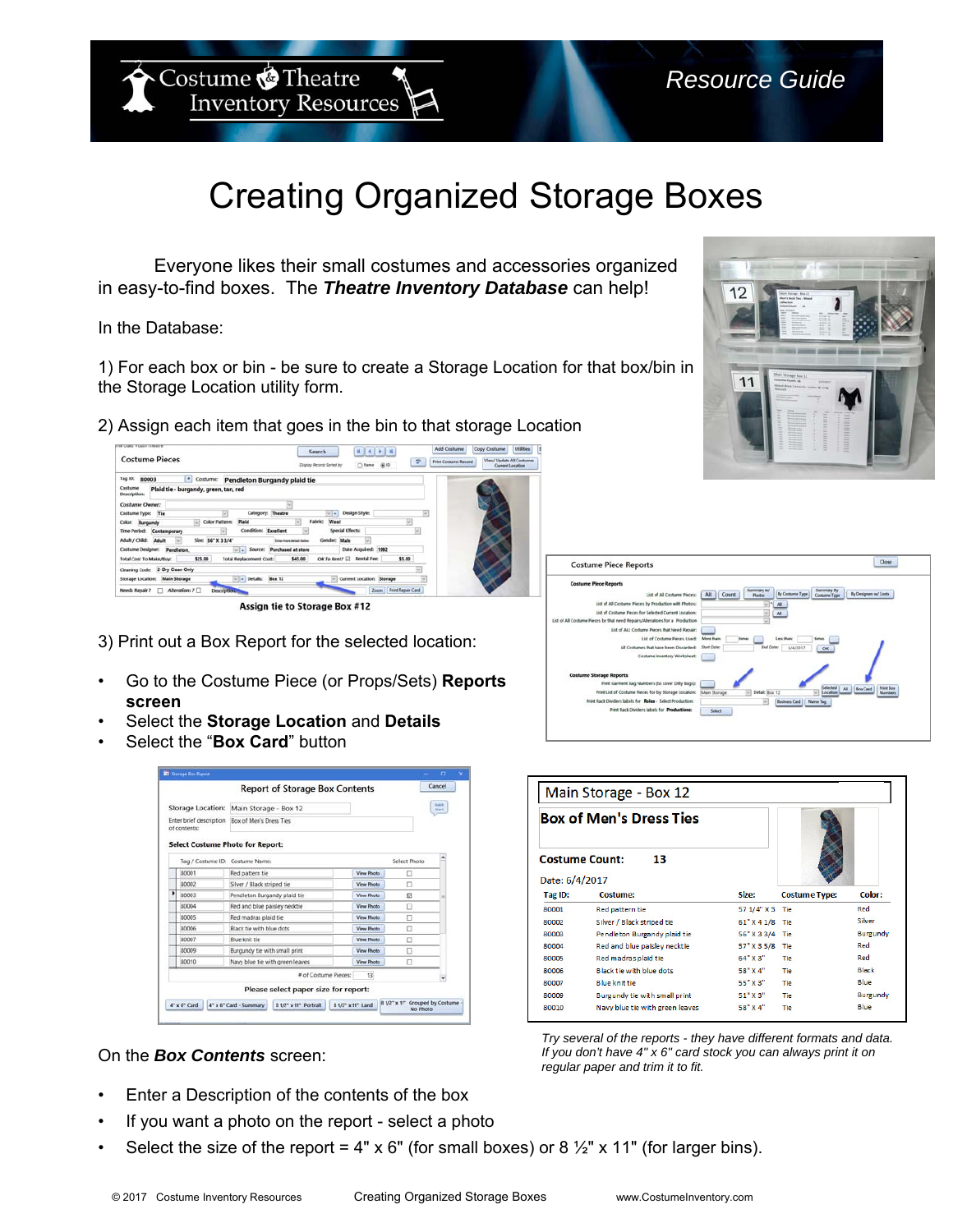Costume **Theatre Inventory Resources** 

## Creating Organized Storage Boxes

Everyone likes their small costumes and accessories organized in easy-to-find boxes. The *Theatre Inventory Database* can help!

In the Database:

1) For each box or bin - be sure to create a Storage Location for that box/bin in the Storage Location utility form.

2) Assign each item that goes in the bin to that storage Location



Assign tie to Storage Box #12

- 3) Print out a Box Report for the selected location:
- Go to the Costume Piece (or Props/Sets) **Reports screen**
- Select the **Storage Location** and **Details**
- Select the "**Box Card**" button

|                                                              |                                           |                               | <b>Report of Storage Box Contents</b> |              |                   |                                   | Cancel |
|--------------------------------------------------------------|-------------------------------------------|-------------------------------|---------------------------------------|--------------|-------------------|-----------------------------------|--------|
| Storage Location:<br>Enter brief description<br>of contents: |                                           | Main Storage - Box 12         |                                       |              |                   | Sinkh<br><b>Start</b>             |        |
|                                                              |                                           | Box of Men's Dress Ties       |                                       |              |                   |                                   |        |
|                                                              | <b>Select Costume Photo for Report:</b>   |                               |                                       |              |                   |                                   |        |
|                                                              | Tag / Costume ID: Costume Name:           |                               |                                       | Select Photo |                   |                                   |        |
|                                                              | 80001                                     | Red pattern tie               |                                       |              | View Photo        | o                                 |        |
|                                                              | 80002                                     | Silver / Black striped tie    |                                       |              | View Photo        | Ω                                 |        |
|                                                              | 80003                                     | Pendleton Burgandy plaid tie  |                                       |              | View Photo        | $\Box$                            |        |
|                                                              | 80004                                     | Red and blue paisley necktie  |                                       |              | View Photo        | □                                 |        |
|                                                              | 80005                                     | Red madras plaid tie          |                                       |              | <b>View Photo</b> | п                                 |        |
|                                                              | 80006                                     | Black tie with blue dots      |                                       |              | View Photo        | п                                 |        |
|                                                              | 80007                                     | Blue knit tie                 |                                       |              | View Photo        | о                                 |        |
|                                                              | 80009                                     | Burgundy tie with small print |                                       |              | <b>View Photo</b> | п                                 |        |
|                                                              | 80010<br>Navy blue tie with green leaves. |                               |                                       | View Photo   | п                 |                                   |        |
|                                                              |                                           |                               | # of Costume Pieces:                  |              | 13                |                                   |        |
|                                                              |                                           |                               | Please select paper size for report:  |              |                   |                                   |        |
|                                                              | 4" x 6" Card                              | 4" x 6" Card - Summary        | 8 1/2" x 11" Portrait                 |              | 8 1/2" x 11" Land | 8 1/2" x 11" Grouped by Costume - |        |

## On the *Box Contents* screen:

- Enter a Description of the contents of the box
- If you want a photo on the report select a photo
- Select the size of the report = 4" x 6" (for small boxes) or 8  $\frac{1}{2}$ " x 11" (for larger bins).



11

| Main Storage - Box 12 |                                 |                 |                      |                 |
|-----------------------|---------------------------------|-----------------|----------------------|-----------------|
|                       | <b>Box of Men's Dress Ties</b>  |                 |                      |                 |
|                       | <b>Costume Count:</b><br>13     |                 |                      |                 |
| Date: 6/4/2017        |                                 |                 |                      |                 |
| Tag ID:               | <b>Costume:</b>                 | Size:           | <b>Costume Type:</b> | Color:          |
| 80001                 | Red pattern tie                 | 57 1/4" X 3 Tie |                      | Red             |
| 80002                 | Silver / Black striped tie      | 61" X 4 1/8 Tie |                      | Silver          |
| 80003                 | Pendleton Burgandy plaid tie    | 56" X 3 3/4     | Tie                  | <b>Burgundy</b> |
| 80004                 | Red and blue paisley necktie    | 57" X 3 5/8     | Tie                  | Red             |
| 80005                 | Red madras plaid tie            | 64" X 3"        | Tie                  | Red             |
| 80006                 | Black tie with blue dots        | 58" X 4"        | Tie                  | <b>Black</b>    |
| 80007                 | <b>Blue knit tie</b>            | 55" X 3"        | <b>Tie</b>           | Blue            |
| 80009                 | Burgundy tie with small print   | 51" X 3"        | Tie                  | <b>Burgundy</b> |
| 80010                 | Navy blue tie with green leaves | 58" X 4"        | <b>Tie</b>           | Blue            |

*Try several of the reports - they have different formats and data. If you don't have 4" x 6" card stock you can always print it on regular paper and trim it to fit.*